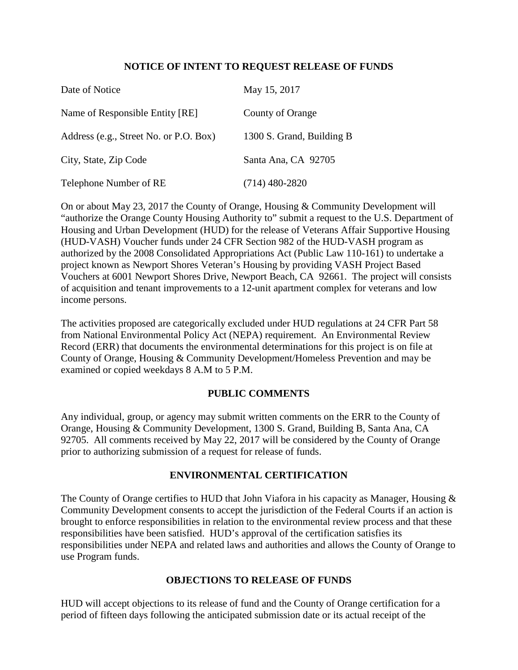## **NOTICE OF INTENT TO REQUEST RELEASE OF FUNDS**

| Date of Notice                         | May 15, 2017              |
|----------------------------------------|---------------------------|
| Name of Responsible Entity [RE]        | County of Orange          |
| Address (e.g., Street No. or P.O. Box) | 1300 S. Grand, Building B |
| City, State, Zip Code                  | Santa Ana, CA 92705       |
| Telephone Number of RE                 | $(714)$ 480-2820          |

On or about May 23, 2017 the County of Orange, Housing & Community Development will "authorize the Orange County Housing Authority to" submit a request to the U.S. Department of Housing and Urban Development (HUD) for the release of Veterans Affair Supportive Housing (HUD-VASH) Voucher funds under 24 CFR Section 982 of the HUD-VASH program as authorized by the 2008 Consolidated Appropriations Act (Public Law 110-161) to undertake a project known as Newport Shores Veteran's Housing by providing VASH Project Based Vouchers at 6001 Newport Shores Drive, Newport Beach, CA 92661. The project will consists of acquisition and tenant improvements to a 12-unit apartment complex for veterans and low income persons.

The activities proposed are categorically excluded under HUD regulations at 24 CFR Part 58 from National Environmental Policy Act (NEPA) requirement. An Environmental Review Record (ERR) that documents the environmental determinations for this project is on file at County of Orange, Housing & Community Development/Homeless Prevention and may be examined or copied weekdays 8 A.M to 5 P.M.

## **PUBLIC COMMENTS**

Any individual, group, or agency may submit written comments on the ERR to the County of Orange, Housing & Community Development, 1300 S. Grand, Building B, Santa Ana, CA 92705. All comments received by May 22, 2017 will be considered by the County of Orange prior to authorizing submission of a request for release of funds.

## **ENVIRONMENTAL CERTIFICATION**

The County of Orange certifies to HUD that John Viafora in his capacity as Manager, Housing & Community Development consents to accept the jurisdiction of the Federal Courts if an action is brought to enforce responsibilities in relation to the environmental review process and that these responsibilities have been satisfied. HUD's approval of the certification satisfies its responsibilities under NEPA and related laws and authorities and allows the County of Orange to use Program funds.

## **OBJECTIONS TO RELEASE OF FUNDS**

HUD will accept objections to its release of fund and the County of Orange certification for a period of fifteen days following the anticipated submission date or its actual receipt of the